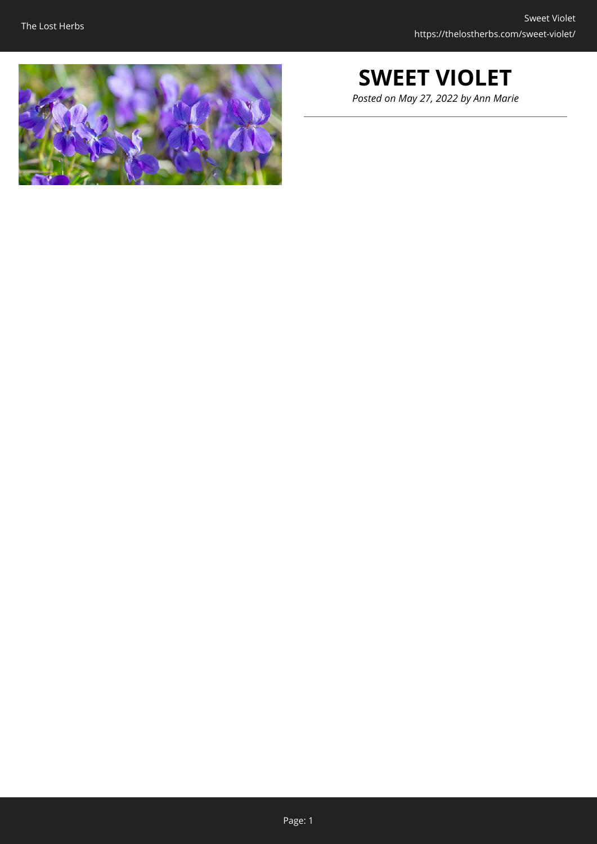

# **SWEET VIOLET**

*Posted on May 27, 2022 by Ann Marie*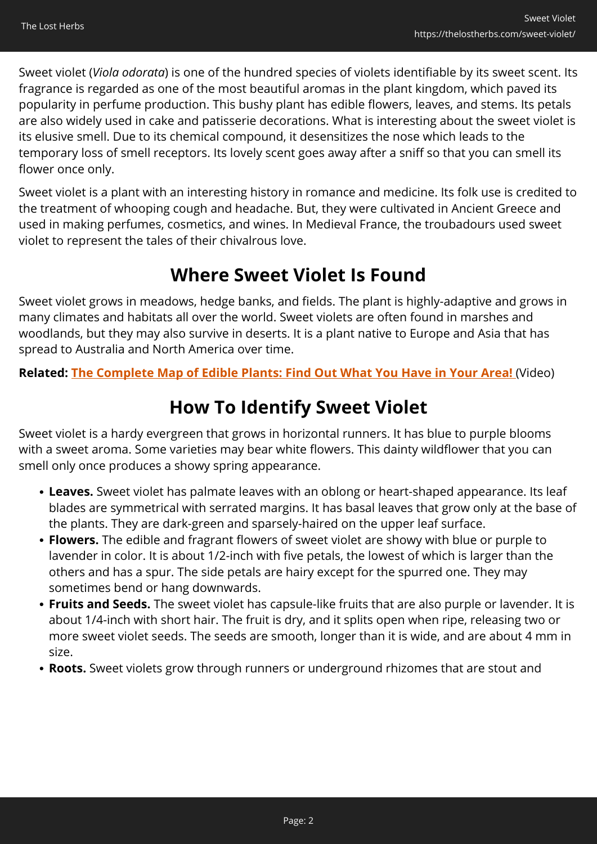Sweet violet (*Viola odorata*) is one of the hundred species of violets identifiable by its sweet scent. Its fragrance is regarded as one of the most beautiful aromas in the plant kingdom, which paved its popularity in perfume production. This bushy plant has edible flowers, leaves, and stems. Its petals are also widely used in cake and patisserie decorations. What is interesting about the sweet violet is its elusive smell. Due to its chemical compound, it desensitizes the nose which leads to the temporary loss of smell receptors. Its lovely scent goes away after a sniff so that you can smell its flower once only.

Sweet violet is a plant with an interesting history in romance and medicine. Its folk use is credited to the treatment of whooping cough and headache. But, they were cultivated in Ancient Greece and used in making perfumes, cosmetics, and wines. In Medieval France, the troubadours used sweet violet to represent the tales of their chivalrous love.

#### **Where Sweet Violet Is Found**

Sweet violet grows in meadows, hedge banks, and fields. The plant is highly-adaptive and grows in many climates and habitats all over the world. Sweet violets are often found in marshes and woodlands, but they may also survive in deserts. It is a plant native to Europe and Asia that has spread to Australia and North America over time.

**Related: [The Complete Map of Edible Plants: Find Out What You Have in Your Area!](https://hop.clickbank.net/?affiliate=easycellar&vendor=wfguide&tid=C02SweetVioletFGW1)** (Video)

# **How To Identify Sweet Violet**

Sweet violet is a hardy evergreen that grows in horizontal runners. It has blue to purple blooms with a sweet aroma. Some varieties may bear white flowers. This dainty wildflower that you can smell only once produces a showy spring appearance.

- **Leaves.** Sweet violet has palmate leaves with an oblong or heart-shaped appearance. Its leaf blades are symmetrical with serrated margins. It has basal leaves that grow only at the base of the plants. They are dark-green and sparsely-haired on the upper leaf surface.
- **Flowers.** The edible and fragrant flowers of sweet violet are showy with blue or purple to lavender in color. It is about 1/2-inch with five petals, the lowest of which is larger than the others and has a spur. The side petals are hairy except for the spurred one. They may sometimes bend or hang downwards.
- **Fruits and Seeds.** The sweet violet has capsule-like fruits that are also purple or lavender. It is about 1/4-inch with short hair. The fruit is dry, and it splits open when ripe, releasing two or more sweet violet seeds. The seeds are smooth, longer than it is wide, and are about 4 mm in size.
- **Roots.** Sweet violets grow through runners or underground rhizomes that are stout and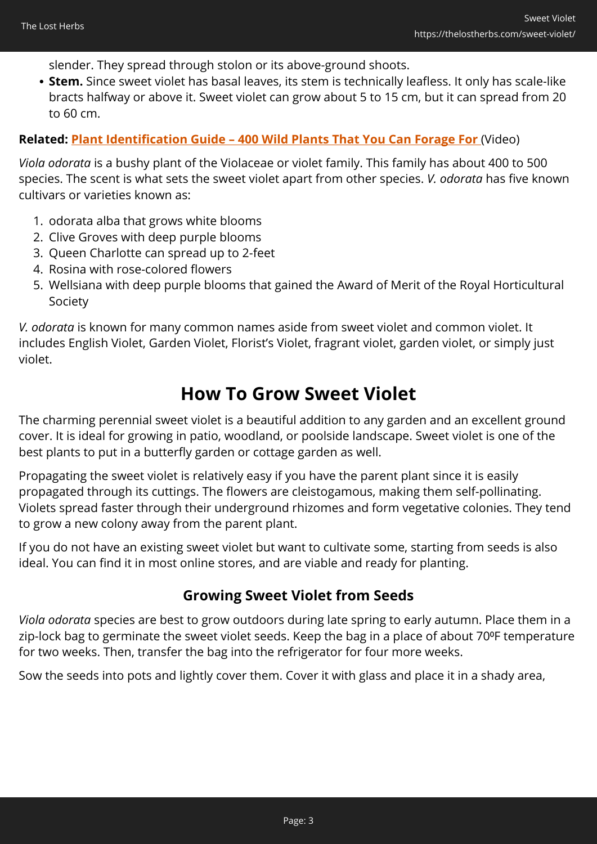slender. They spread through stolon or its above-ground shoots.

**Stem.** Since sweet violet has basal leaves, its stem is technically leafless. It only has scale-like bracts halfway or above it. Sweet violet can grow about 5 to 15 cm, but it can spread from 20 to 60 cm.

#### **Related: [Plant Identification Guide – 400 Wild Plants That You Can Forage For](https://hop.clickbank.net/?affiliate=easycellar&vendor=wfguide&tid=C02SweetVioletFGW2)** (Video)

*Viola odorata* is a bushy plant of the Violaceae or violet family. This family has about 400 to 500 species. The scent is what sets the sweet violet apart from other species. *V. odorata* has five known cultivars or varieties known as:

- 1. odorata alba that grows white blooms
- 2. Clive Groves with deep purple blooms
- 3. Queen Charlotte can spread up to 2-feet
- 4. Rosina with rose-colored flowers
- 5. Wellsiana with deep purple blooms that gained the Award of Merit of the Royal Horticultural Society

*V. odorata* is known for many common names aside from sweet violet and common violet. It includes English Violet, Garden Violet, Florist's Violet, fragrant violet, garden violet, or simply just violet.

#### **How To Grow Sweet Violet**

The charming perennial sweet violet is a beautiful addition to any garden and an excellent ground cover. It is ideal for growing in patio, woodland, or poolside landscape. Sweet violet is one of the best plants to put in a butterfly garden or cottage garden as well.

Propagating the sweet violet is relatively easy if you have the parent plant since it is easily propagated through its cuttings. The flowers are cleistogamous, making them self-pollinating. Violets spread faster through their underground rhizomes and form vegetative colonies. They tend to grow a new colony away from the parent plant.

If you do not have an existing sweet violet but want to cultivate some, starting from seeds is also ideal. You can find it in most online stores, and are viable and ready for planting.

#### **Growing Sweet Violet from Seeds**

*Viola odorata* species are best to grow outdoors during late spring to early autumn. Place them in a zip-lock bag to germinate the sweet violet seeds. Keep the bag in a place of about 70°F temperature for two weeks. Then, transfer the bag into the refrigerator for four more weeks.

Sow the seeds into pots and lightly cover them. Cover it with glass and place it in a shady area,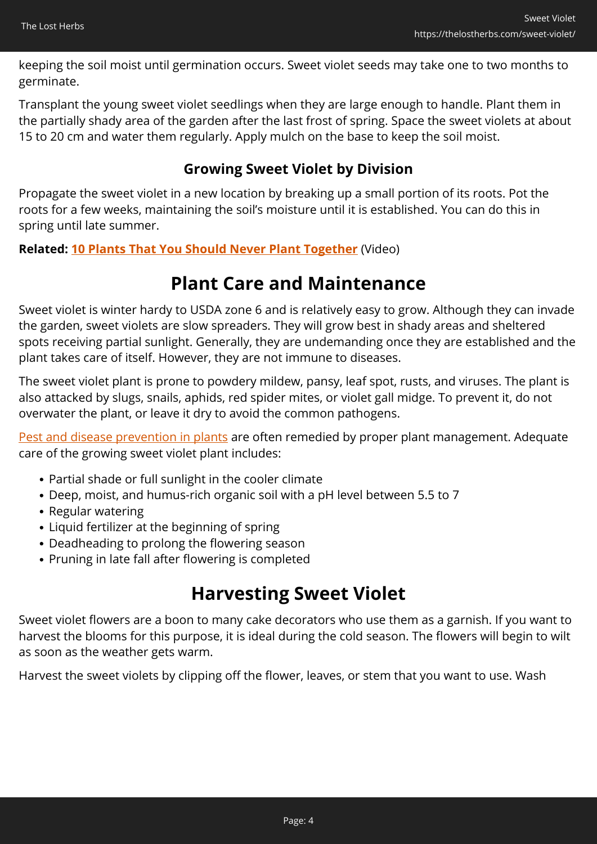keeping the soil moist until germination occurs. Sweet violet seeds may take one to two months to germinate.

Transplant the young sweet violet seedlings when they are large enough to handle. Plant them in the partially shady area of the garden after the last frost of spring. Space the sweet violets at about 15 to 20 cm and water them regularly. Apply mulch on the base to keep the soil moist.

#### **Growing Sweet Violet by Division**

Propagate the sweet violet in a new location by breaking up a small portion of its roots. Pot the roots for a few weeks, maintaining the soil's moisture until it is established. You can do this in spring until late summer.

**Related: [10 Plants That You Should Never Plant Together](https://hop.clickbank.net/?affiliate=easycellar&vendor=sbackyard&tid=C02SweetvioletSSB)** (Video)

#### **Plant Care and Maintenance**

Sweet violet is winter hardy to USDA zone 6 and is relatively easy to grow. Although they can invade the garden, sweet violets are slow spreaders. They will grow best in shady areas and sheltered spots receiving partial sunlight. Generally, they are undemanding once they are established and the plant takes care of itself. However, they are not immune to diseases.

The sweet violet plant is prone to powdery mildew, pansy, leaf spot, rusts, and viruses. The plant is also attacked by slugs, snails, aphids, red spider mites, or violet gall midge. To prevent it, do not overwater the plant, or leave it dry to avoid the common pathogens.

[Pest and disease prevention in plants](https://www.fs.fed.us/rm/pubs_series/wo/wo_ah732/wo_ah732_273_291.pdf) are often remedied by proper plant management. Adequate care of the growing sweet violet plant includes:

- Partial shade or full sunlight in the cooler climate
- Deep, moist, and humus-rich organic soil with a pH level between 5.5 to 7
- Regular watering
- Liquid fertilizer at the beginning of spring
- Deadheading to prolong the flowering season
- Pruning in late fall after flowering is completed

## **Harvesting Sweet Violet**

Sweet violet flowers are a boon to many cake decorators who use them as a garnish. If you want to harvest the blooms for this purpose, it is ideal during the cold season. The flowers will begin to wilt as soon as the weather gets warm.

Harvest the sweet violets by clipping off the flower, leaves, or stem that you want to use. Wash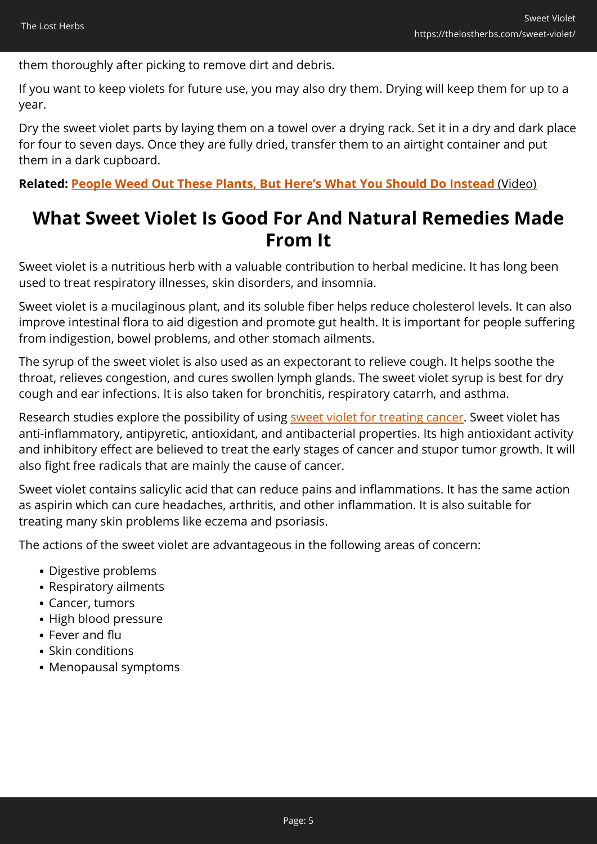them thoroughly after picking to remove dirt and debris.

If you want to keep violets for future use, you may also dry them. Drying will keep them for up to a year.

Dry the sweet violet parts by laying them on a towel over a drying rack. Set it in a dry and dark place for four to seven days. Once they are fully dried, transfer them to an airtight container and put them in a dark cupboard.

**Related: [People Weed Out These Plants, But Here's What You Should Do Instead](https://hop.clickbank.net/?affiliate=easycellar&vendor=wfguide&tid=C02SwetVioletFGW2)** [\(Video\)](https://hop.clickbank.net/?affiliate=easycellar&vendor=wfguide&tid=C02SwetVioletFGW2)

#### **What Sweet Violet Is Good For And Natural Remedies Made From It**

Sweet violet is a nutritious herb with a valuable contribution to herbal medicine. It has long been used to treat respiratory illnesses, skin disorders, and insomnia.

Sweet violet is a mucilaginous plant, and its soluble fiber helps reduce cholesterol levels. It can also improve intestinal flora to aid digestion and promote gut health. It is important for people suffering from indigestion, bowel problems, and other stomach ailments.

The syrup of the sweet violet is also used as an expectorant to relieve cough. It helps soothe the throat, relieves congestion, and cures swollen lymph glands. The sweet violet syrup is best for dry cough and ear infections. It is also taken for bronchitis, respiratory catarrh, and asthma.

Research studies explore the possibility of using [sweet violet for treating cancer](https://www.ncbi.nlm.nih.gov/pmc/articles/PMC5937098/). Sweet violet has anti-inflammatory, antipyretic, antioxidant, and antibacterial properties. Its high antioxidant activity and inhibitory effect are believed to treat the early stages of cancer and stupor tumor growth. It will also fight free radicals that are mainly the cause of cancer.

Sweet violet contains salicylic acid that can reduce pains and inflammations. It has the same action as aspirin which can cure headaches, arthritis, and other inflammation. It is also suitable for treating many skin problems like eczema and psoriasis.

The actions of the sweet violet are advantageous in the following areas of concern:

- Digestive problems
- Respiratory ailments
- Cancer, tumors
- High blood pressure
- Fever and flu
- Skin conditions
- Menopausal symptoms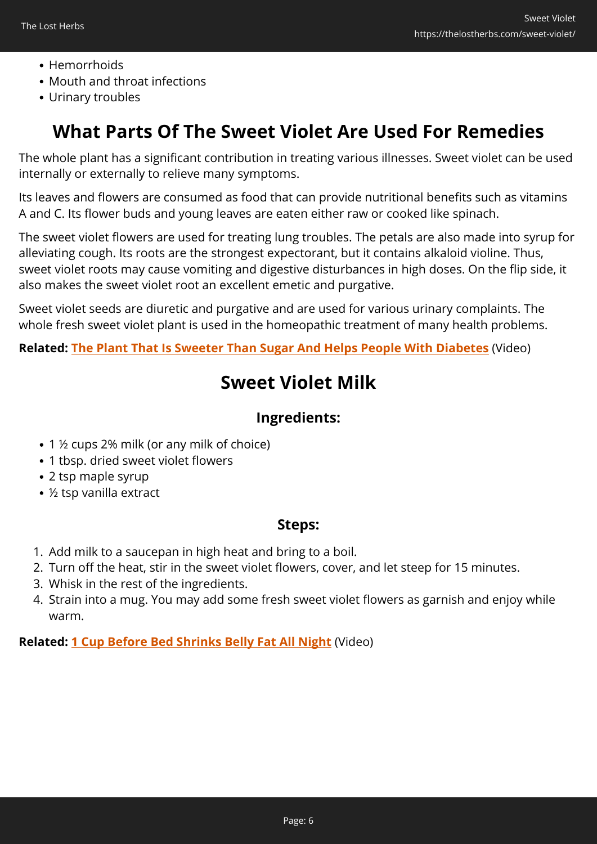- Hemorrhoids
- Mouth and throat infections
- Urinary troubles

### **What Parts Of The Sweet Violet Are Used For Remedies**

The whole plant has a significant contribution in treating various illnesses. Sweet violet can be used internally or externally to relieve many symptoms.

Its leaves and flowers are consumed as food that can provide nutritional benefits such as vitamins A and C. Its flower buds and young leaves are eaten either raw or cooked like spinach.

The sweet violet flowers are used for treating lung troubles. The petals are also made into syrup for alleviating cough. Its roots are the strongest expectorant, but it contains alkaloid violine. Thus, sweet violet roots may cause vomiting and digestive disturbances in high doses. On the flip side, it also makes the sweet violet root an excellent emetic and purgative.

Sweet violet seeds are diuretic and purgative and are used for various urinary complaints. The whole fresh sweet violet plant is used in the homeopathic treatment of many health problems.

**Related: [The Plant That Is Sweeter Than Sugar And Helps People With Diabetes](https://hop.clickbank.net/?affiliate=easycellar&vendor=wfguide&tid=C02SweetVioletFGW3)** (Video)

### **Sweet Violet Milk**

#### **Ingredients:**

- 1 ½ cups 2% milk (or any milk of choice)
- 1 tbsp. dried sweet violet flowers
- 2 tsp maple syrup
- ½ tsp vanilla extract

#### **Steps:**

- 1. Add milk to a saucepan in high heat and bring to a boil.
- 2. Turn off the heat, stir in the sweet violet flowers, cover, and let steep for 15 minutes.
- 3. Whisk in the rest of the ingredients.
- 4. Strain into a mug. You may add some fresh sweet violet flowers as garnish and enjoy while warm.

**Related: [1 Cup Before Bed Shrinks Belly Fat All Night](https://hop.clickbank.net/?affiliate=easycellar&vendor=alphasupps&tid=C02SweetVioletORG)** (Video)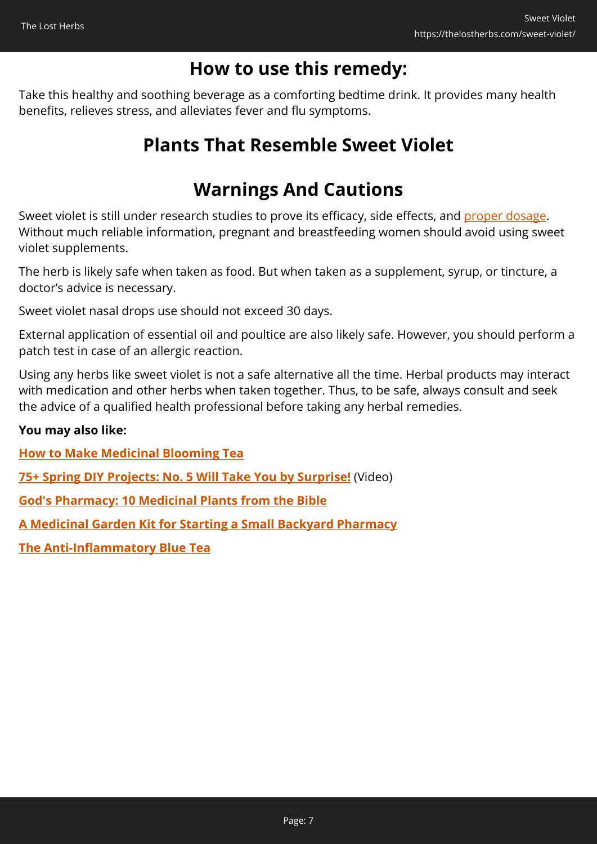### **How to use this remedy:**

Take this healthy and soothing beverage as a comforting bedtime drink. It provides many health benefits, relieves stress, and alleviates fever and flu symptoms.

### **Plants That Resemble Sweet Violet**

# **Warnings And Cautions**

Sweet violet is still under research studies to prove its efficacy, side effects, and [proper dosage.](https://www.webmd.com/vitamins/ai/ingredientmono-212/sweet-violet) Without much reliable information, pregnant and breastfeeding women should avoid using sweet violet supplements.

The herb is likely safe when taken as food. But when taken as a supplement, syrup, or tincture, a doctor's advice is necessary.

Sweet violet nasal drops use should not exceed 30 days.

External application of essential oil and poultice are also likely safe. However, you should perform a patch test in case of an allergic reaction.

Using any herbs like sweet violet is not a safe alternative all the time. Herbal products may interact with medication and other herbs when taken together. Thus, to be safe, always consult and seek the advice of a qualified health professional before taking any herbal remedies.

#### **You may also like:**

**[How to Make Medicinal Blooming Tea](https://thelostherbs.com/how-to-make-medicinal-blooming-tea/)**

**[75+ Spring DIY Projects: No. 5 Will Take You by Surprise!](https://hop.clickbank.net/?affiliate=easycellar&vendor=sbackyard&tid=C02SweetVioletSSB)** (Video)

**[God's Pharmacy: 10 Medicinal Plants from the Bible](https://thelostherbs.com/gods-pharmacy-10-medicinal-plants-from-the-bible/)**

**[A Medicinal Garden Kit for Starting a Small Backyard Pharmacy](https://thelostherbs.com/a-medicinal-garden-kit-for-starting-a-small-backyard-pharmacy/)**

**[The Anti-Inflammatory Blue Tea](https://thelostherbs.com/the-anti-inflammatory-blue-tea/)**